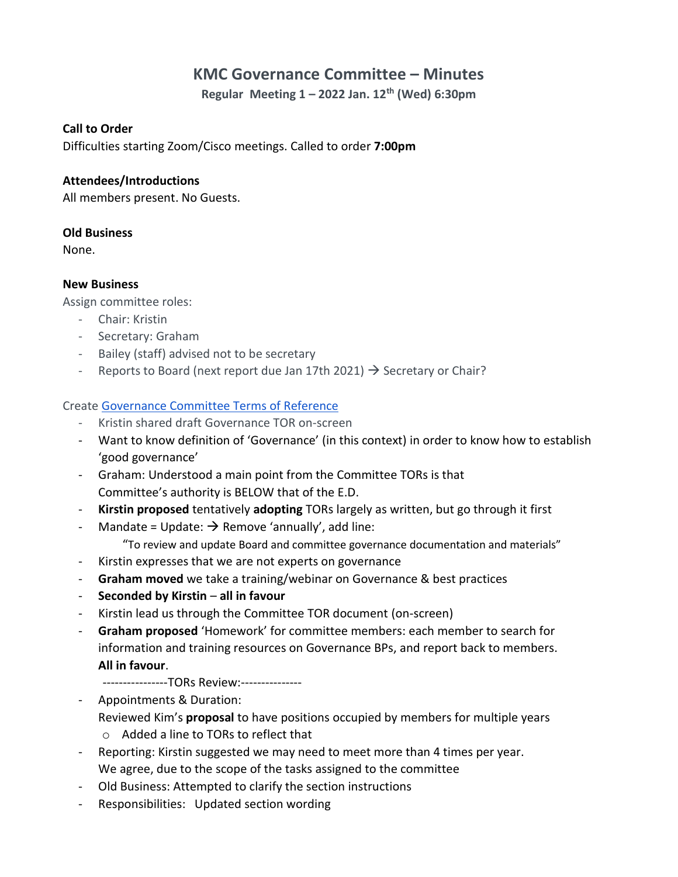# **KMC Governance Committee – Minutes**

**Regular Meeting 1 – 2022 Jan. 12th (Wed) 6:30pm**

#### **Call to Order**

Difficulties starting Zoom/Cisco meetings. Called to order **7:00pm**

#### **Attendees/Introductions**

All members present. No Guests.

#### **Old Business**

None.

#### **New Business**

Assign committee roles:

- Chair: Kristin
- Secretary: Graham
- Bailey (staff) advised not to be secretary
- Reports to Board (next report due Jan 17th 2021)  $\rightarrow$  Secretary or Chair?

## Create [Governance Committee Terms of Reference](https://docs.google.com/document/d/1BG4wp8sNxSdRpdjNNO819-oLyYtNzuKj/edit)

- Kristin shared draft Governance TOR on-screen
- Want to know definition of 'Governance' (in this context) in order to know how to establish 'good governance'
- Graham: Understood a main point from the Committee TORs is that Committee's authority is BELOW that of the E.D.
- **Kirstin proposed** tentatively **adopting** TORs largely as written, but go through it first
- Mandate = Update:  $\rightarrow$  Remove 'annually', add line:

"To review and update Board and committee governance documentation and materials"

- Kirstin expresses that we are not experts on governance
- Graham moved we take a training/webinar on Governance & best practices
- **Seconded by Kirstin all in favour**
- Kirstin lead us through the Committee TOR document (on-screen)
- **Graham proposed** 'Homework' for committee members: each member to search for information and training resources on Governance BPs, and report back to members. **All in favour**.

----------------TORs Review:---------------

- Appointments & Duration: Reviewed Kim's **proposal** to have positions occupied by members for multiple years
	- o Added a line to TORs to reflect that
- Reporting: Kirstin suggested we may need to meet more than 4 times per year. We agree, due to the scope of the tasks assigned to the committee
- Old Business: Attempted to clarify the section instructions
- Responsibilities: Updated section wording